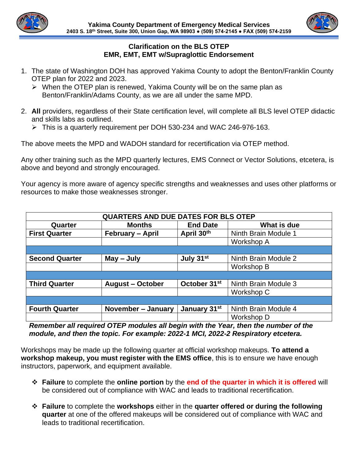

## **Clarification on the BLS OTEP EMR, EMT, EMT w/Supraglottic Endorsement**

- 1. The state of Washington DOH has approved Yakima County to adopt the Benton/Franklin County OTEP plan for 2022 and 2023.
	- ➢ When the OTEP plan is renewed, Yakima County will be on the same plan as Benton/Franklin/Adams County, as we are all under the same MPD.
- 2. **All** providers, regardless of their State certification level, will complete all BLS level OTEP didactic and skills labs as outlined.
	- $\triangleright$  This is a quarterly requirement per DOH 530-234 and WAC 246-976-163.

The above meets the MPD and WADOH standard for recertification via OTEP method.

Any other training such as the MPD quarterly lectures, EMS Connect or Vector Solutions, etcetera, is above and beyond and strongly encouraged.

Your agency is more aware of agency specific strengths and weaknesses and uses other platforms or resources to make those weaknesses stronger.

| QUARTERS AND DUE DATES FOR BLS OTEP |                         |                          |                      |
|-------------------------------------|-------------------------|--------------------------|----------------------|
|                                     |                         |                          |                      |
| Quarter                             | <b>Months</b>           | <b>End Date</b>          | What is due          |
| <b>First Quarter</b>                | February - April        | April 30th               | Ninth Brain Module 1 |
|                                     |                         |                          | Workshop A           |
|                                     |                         |                          |                      |
| <b>Second Quarter</b>               | May - July              | July 31st                | Ninth Brain Module 2 |
|                                     |                         |                          | Workshop B           |
|                                     |                         |                          |                      |
| <b>Third Quarter</b>                | <b>August - October</b> | October 31 <sup>st</sup> | Ninth Brain Module 3 |
|                                     |                         |                          | Workshop C           |
|                                     |                         |                          |                      |
| <b>Fourth Quarter</b>               | November - January      | January 31 <sup>st</sup> | Ninth Brain Module 4 |
|                                     |                         |                          | Workshop D           |

*Remember all required OTEP modules all begin with the Year, then the number of the module, and then the topic. For example: 2022-1 MCI, 2022-2 Respiratory etcetera.* 

Workshops may be made up the following quarter at official workshop makeups. **To attend a workshop makeup, you must register with the EMS office**, this is to ensure we have enough instructors, paperwork, and equipment available.

- ❖ **Failure** to complete the **online portion** by the **end of the quarter in which it is offered** will be considered out of compliance with WAC and leads to traditional recertification.
- ❖ **Failure** to complete the **workshops** either in the **quarter offered or during the following quarter** at one of the offered makeups will be considered out of compliance with WAC and leads to traditional recertification.